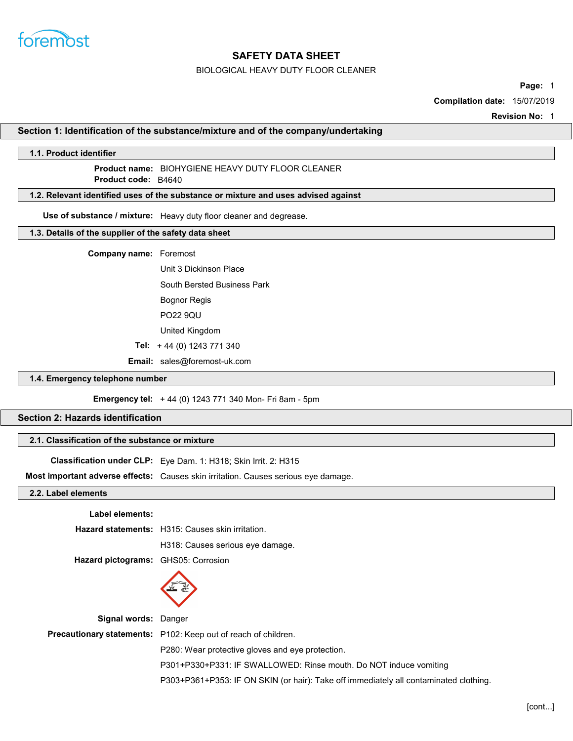

## BIOLOGICAL HEAVY DUTY FLOOR CLEANER

Page: 1

Compilation date: 15/07/2019

Revision No: 1

Section 1: Identification of the substance/mixture and of the company/undertaking

### 1.1. Product identifier

# Product name: BIOHYGIENE HEAVY DUTY FLOOR CLEANER

Product **code**: B4640

# 1.2. Relevant identified uses of the substance or mixture and uses advised against

Use of substance / mixture: Heavy duty floor cleaner and degrease.

## 1.3. Details of the supplier of the safety data sheet

#### Company name: Foremost

Unit 3 Dickinson Place

South Bersted Business Park

Bognor Regis

PO22 9QU

United Kingdom

Tel: + 44 (0) 1243 771 340

Email: sales@foremost-uk.com

### 1.4. Emergency telephone number

Emergency tel: + 44 (0) 1243 771 340 Mon- Fri 8am - 5pm

# Section 2: Hazards identification

# 2.1. Classification of the substance or mixture

Classification under CLP: Eye Dam. 1: H318; Skin Irrit. 2: H315

Most important adverse effects: Causes skin irritation. Causes serious eye damage.

## 2.2. Label elements

| Label elements:                     |                                                                                       |
|-------------------------------------|---------------------------------------------------------------------------------------|
|                                     | <b>Hazard statements:</b> H315: Causes skin irritation.                               |
|                                     | H318: Causes serious eye damage.                                                      |
| Hazard pictograms: GHS05: Corrosion |                                                                                       |
|                                     |                                                                                       |
| <b>Signal words: Danger</b>         |                                                                                       |
|                                     | <b>Precautionary statements:</b> P102: Keep out of reach of children.                 |
|                                     | P280: Wear protective gloves and eye protection.                                      |
|                                     | P301+P330+P331: IF SWALLOWED: Rinse mouth. Do NOT induce vomiting                     |
|                                     | P303+P361+P353: IF ON SKIN (or hair): Take off immediately all contaminated clothing. |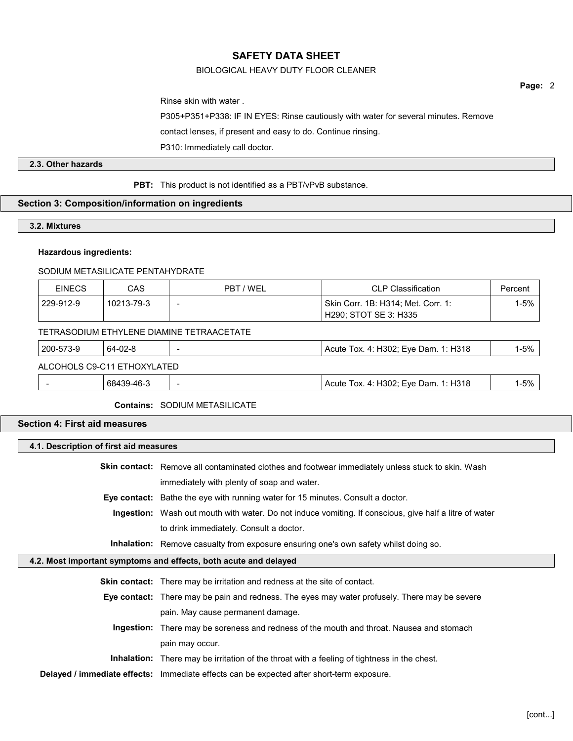# BIOLOGICAL HEAVY DUTY FLOOR CLEANER

Rinse skin with water .

P305+P351+P338: IF IN EYES: Rinse cautiously with water for several minutes. Remove

contact lenses, if present and easy to do. Continue rinsing.

P310: Immediately call doctor.

# 2.3. Other hazards

PBT: This product is not identified as a PBT/vPvB substance.

# Section 3: Composition/information on ingredients

# 3.2. Mixtures

## Hazardous ingredients:

#### SODIUM METASILICATE PENTAHYDRATE

| <b>EINECS</b>                             | CAS        | PBT / WEL | <b>CLP Classification</b>                                   | Percent  |
|-------------------------------------------|------------|-----------|-------------------------------------------------------------|----------|
| 229-912-9                                 | 10213-79-3 | -         | Skin Corr. 1B: H314; Met. Corr. 1:<br>H290; STOT SE 3: H335 | $1 - 5%$ |
| TETRASODIUM ETHYLENE DIAMINE TETRAACETATE |            |           |                                                             |          |
| 200-573-9                                 | 64-02-8    |           | Acute Tox. 4: H302; Eye Dam. 1: H318                        | $1 - 5%$ |
| ALCOHOLS C9-C11 ETHOXYLATED               |            |           |                                                             |          |
|                                           | 68439-46-3 |           | Acute Tox. 4: H302; Eye Dam. 1: H318                        | $1 - 5%$ |

#### Contains: SODIUM METASILICATE

# Section 4: First aid measures

| 4.1. Description of first aid measures |                                                                                                               |  |
|----------------------------------------|---------------------------------------------------------------------------------------------------------------|--|
|                                        | <b>Skin contact:</b> Remove all contaminated clothes and footwear immediately unless stuck to skin. Wash      |  |
|                                        | immediately with plenty of soap and water.                                                                    |  |
|                                        | <b>Eye contact:</b> Bathe the eye with running water for 15 minutes. Consult a doctor.                        |  |
|                                        | <b>Ingestion:</b> Wash out mouth with water. Do not induce vomiting. If conscious, give half a litre of water |  |
|                                        | to drink immediately. Consult a doctor.                                                                       |  |
|                                        | <b>Inhalation:</b> Remove casualty from exposure ensuring one's own safety whilst doing so.                   |  |
|                                        | 4.2. Most important symptoms and effects, both acute and delayed                                              |  |
|                                        | <b>Skin contact:</b> There may be irritation and redness at the site of contact.                              |  |
|                                        | <b>Eye contact:</b> There may be pain and redness. The eyes may water profusely. There may be severe          |  |
|                                        | pain. May cause permanent damage.                                                                             |  |
|                                        | <b>Ingestion:</b> There may be soreness and redness of the mouth and throat. Nausea and stomach               |  |
|                                        | pain may occur.                                                                                               |  |

Inhalation: There may be irritation of the throat with a feeling of tightness in the chest.

Delayed / immediate effects: Immediate effects can be expected after short-term exposure.

Page: 2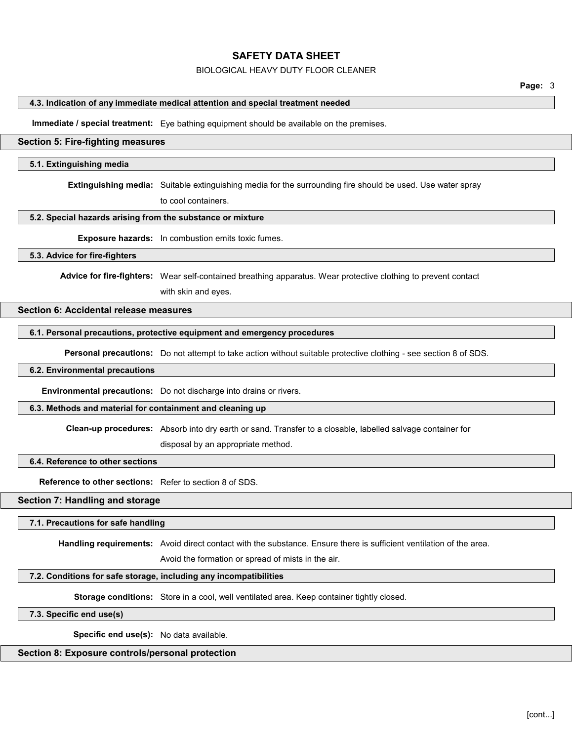### BIOLOGICAL HEAVY DUTY FLOOR CLEANER

## 4.3. Indication of any immediate medical attention and special treatment needed

Immediate / special treatment: Eye bathing equipment should be available on the premises.

### Section 5: Fire-fighting measures

#### 5.1. Extinguishing media

Extinguishing media: Suitable extinguishing media for the surrounding fire should be used. Use water spray

to cool containers.

#### 5.2. Special hazards arising from the substance or mixture

Exposure hazards: In combustion emits toxic fumes.

#### 5.3. Advice for fire-fighters

Advice for fire-fighters: Wear self-contained breathing apparatus. Wear protective clothing to prevent contact

with skin and eyes.

# Section 6: Accidental release measures

#### 6.1. Personal precautions, protective equipment and emergency procedures

Personal precautions: Do not attempt to take action without suitable protective clothing - see section 8 of SDS.

#### 6.2. Environmental precautions

Environmental precautions: Do not discharge into drains or rivers.

#### 6.3. Methods and material for containment and cleaning up

Clean-up procedures: Absorb into dry earth or sand. Transfer to a closable, labelled salvage container for

disposal by an appropriate method.

#### 6.4. Reference to other sections

Reference to other sections: Refer to section 8 of SDS.

#### Section 7: Handling and storage

#### 7.1. Precautions for safe handling

Handling requirements: Avoid direct contact with the substance. Ensure there is sufficient ventilation of the area.

Avoid the formation or spread of mists in the air.

# 7.2. Conditions for safe storage, including any incompatibilities

Storage conditions: Store in a cool, well ventilated area. Keep container tightly closed.

#### 7.3. Specific end use(s)

Specific end use(s): No data available.

## Section 8: Exposure controls/personal protection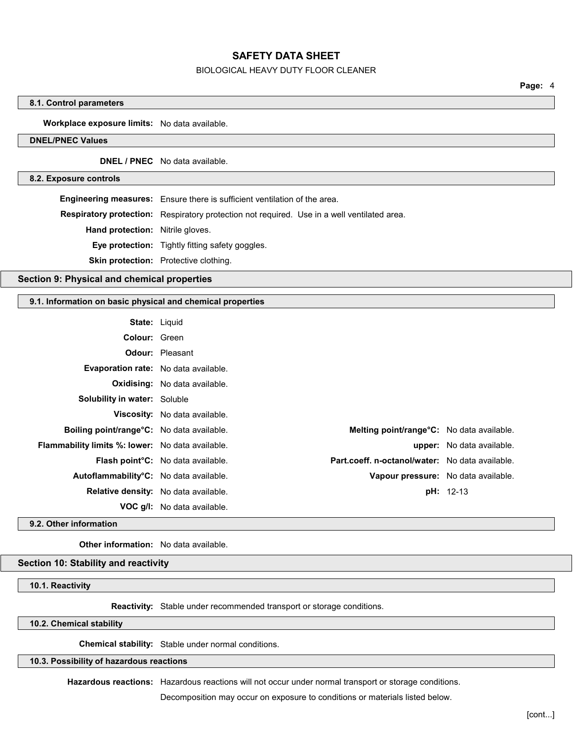### BIOLOGICAL HEAVY DUTY FLOOR CLEANER

Page: 4

## 8.1. Control parameters

### Workplace exposure limits: No data available.

## DNEL/PNEC Values

DNEL / PNEC No data available.

### 8.2. Exposure controls

Engineering measures: Ensure there is sufficient ventilation of the area.

Respiratory protection: Respiratory protection not required. Use in a well ventilated area.

Hand protection: Nitrile gloves.

Eye protection: Tightly fitting safety goggles.

Skin protection: Protective clothing.

# Section 9: Physical and chemical properties

#### 9.1. Information on basic physical and chemical properties

| <b>State: Liquid</b>                                    |                                          |                                                 |                                  |
|---------------------------------------------------------|------------------------------------------|-------------------------------------------------|----------------------------------|
| Colour: Green                                           |                                          |                                                 |                                  |
|                                                         | <b>Odour:</b> Pleasant                   |                                                 |                                  |
| <b>Evaporation rate:</b> No data available.             |                                          |                                                 |                                  |
|                                                         | <b>Oxidising:</b> No data available.     |                                                 |                                  |
| <b>Solubility in water:</b> Soluble                     |                                          |                                                 |                                  |
|                                                         | <b>Viscosity:</b> No data available.     |                                                 |                                  |
| Boiling point/range°C: No data available.               |                                          | Melting point/range°C: No data available.       |                                  |
| <b>Flammability limits %: lower:</b> No data available. |                                          |                                                 | <b>upper:</b> No data available. |
|                                                         | <b>Flash point C:</b> No data available. | Part.coeff. n-octanol/water: No data available. |                                  |
| Autoflammability°C: No data available.                  |                                          | Vapour pressure: No data available.             |                                  |
| <b>Relative density:</b> No data available.             |                                          |                                                 | <b>pH:</b> 12-13                 |
|                                                         | <b>VOC g/l:</b> No data available.       |                                                 |                                  |

9.2. Other information

Other information: No data available.

# Section 10: Stability and reactivity

10.1. Reactivity

Reactivity: Stable under recommended transport or storage conditions.

# 10.2. Chemical stability

Chemical stability: Stable under normal conditions.

10.3. Possibility of hazardous reactions

Hazardous reactions: Hazardous reactions will not occur under normal transport or storage conditions.

Decomposition may occur on exposure to conditions or materials listed below.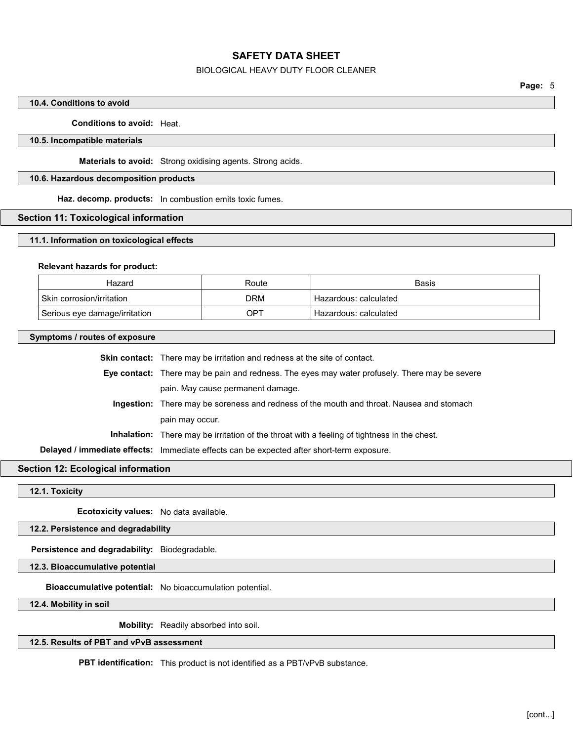## BIOLOGICAL HEAVY DUTY FLOOR CLEANER

### 10.4. Conditions to avoid

### Conditions to avoid: Heat.

#### 10.5. Incompatible materials

Materials to avoid: Strong oxidising agents. Strong acids.

#### 10.6. Hazardous decomposition products

Haz. decomp. products: In combustion emits toxic fumes.

## Section 11: Toxicological information

#### 11.1. Information on toxicological effects

#### Relevant hazards for product:

| Hazard                        | Route      | Basis                              |
|-------------------------------|------------|------------------------------------|
| Skin corrosion/irritation     | <b>DRM</b> | ' Hazardous: calculated            |
| Serious eye damage/irritation | OPT        | <sup>⊥</sup> Hazardous: calculated |

#### Symptoms / routes of exposure

Skin contact: There may be irritation and redness at the site of contact.

Eye contact: There may be pain and redness. The eyes may water profusely. There may be severe pain. May cause permanent damage.

Ingestion: There may be soreness and redness of the mouth and throat. Nausea and stomach pain may occur.

Inhalation: There may be irritation of the throat with a feeling of tightness in the chest.

Delayed / immediate effects: Immediate effects can be expected after short-term exposure.

# Section 12: Ecological information

12.1. Toxicity

Ecotoxicity values: No data available.

#### 12.2. Persistence and degradability

Persistence and degradability: Biodegradable.

12.3. Bioaccumulative potential

Bioaccumulative potential: No bioaccumulation potential.

12.4. Mobility in soil

Mobility: Readily absorbed into soil.

# 12.5. Results of PBT and vPvB assessment

PBT identification: This product is not identified as a PBT/vPvB substance.